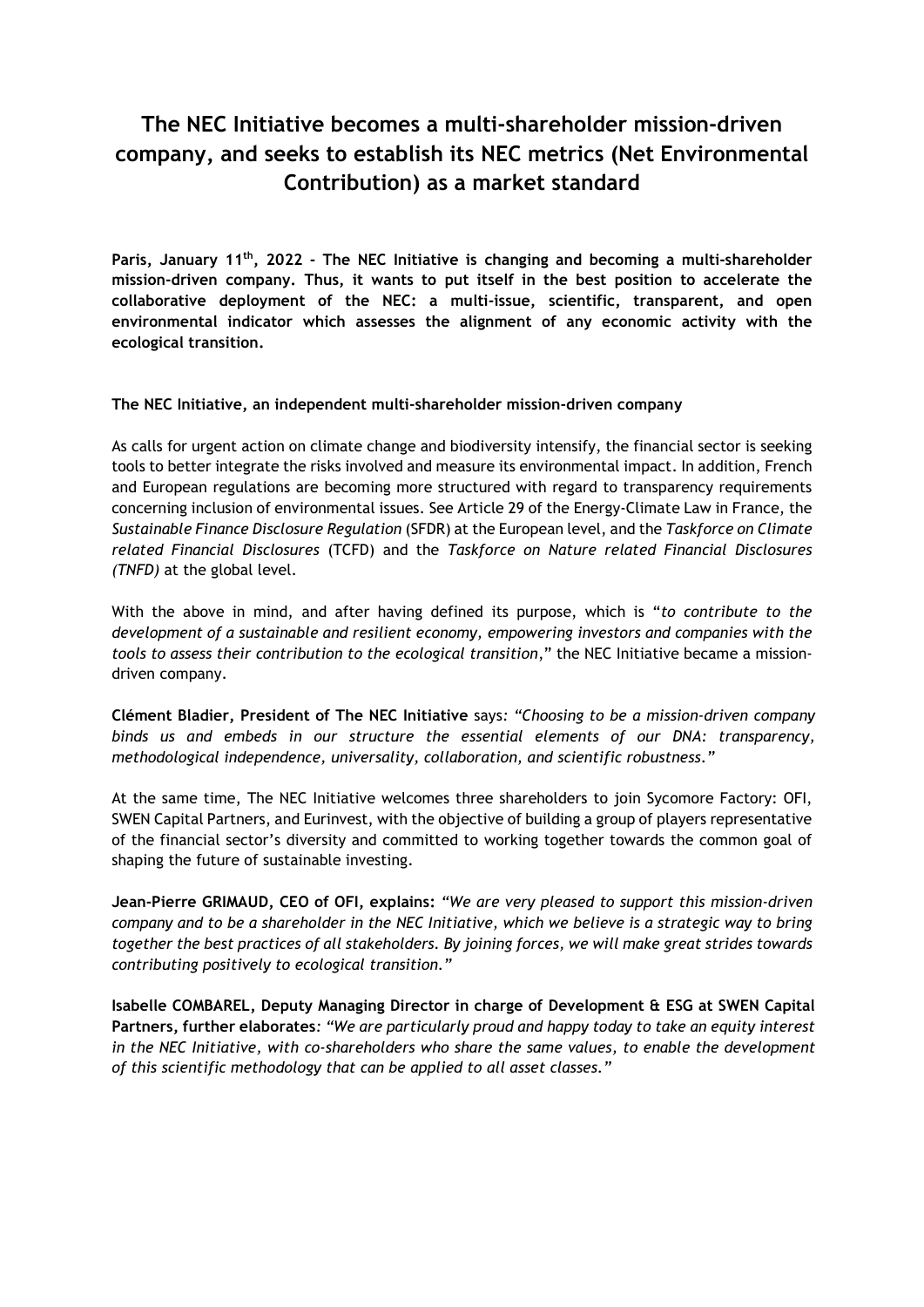# The NEC Initiative becomes a multi-shareholder mission-driven company, and seeks to establish its NEC metrics (Net Environmental Contribution) as a market standard

Paris, January 11<sup>th</sup>, 2022 - The NEC Initiative is changing and becoming a multi-shareholder mission-driven company. Thus, it wants to put itself in the best position to accelerate the collaborative deployment of the NEC: a multi-issue, scientific, transparent, and open environmental indicator which assesses the alignment of any economic activity with the ecological transition.

# The NEC Initiative, an independent multi-shareholder mission-driven company

As calls for urgent action on climate change and biodiversity intensify, the financial sector is seeking tools to better integrate the risks involved and measure its environmental impact. In addition, French and European regulations are becoming more structured with regard to transparency requirements concerning inclusion of environmental issues. See Article 29 of the Energy-Climate Law in France, the Sustainable Finance Disclosure Regulation (SFDR) at the European level, and the Taskforce on Climate related Financial Disclosures (TCFD) and the Taskforce on Nature related Financial Disclosures (TNFD) at the global level.

With the above in mind, and after having defined its purpose, which is "to contribute to the development of a sustainable and resilient economy, empowering investors and companies with the tools to assess their contribution to the ecological transition," the NEC Initiative became a missiondriven company.

Clément Bladier, President of The NEC Initiative says: "Choosing to be a mission-driven company binds us and embeds in our structure the essential elements of our DNA: transparency, methodological independence, universality, collaboration, and scientific robustness."

At the same time, The NEC Initiative welcomes three shareholders to join Sycomore Factory: OFI, SWEN Capital Partners, and Eurinvest, with the objective of building a group of players representative of the financial sector's diversity and committed to working together towards the common goal of shaping the future of sustainable investing.

Jean-Pierre GRIMAUD, CEO of OFI, explains: "We are very pleased to support this mission-driven company and to be a shareholder in the NEC Initiative, which we believe is a strategic way to bring together the best practices of all stakeholders. By joining forces, we will make great strides towards contributing positively to ecological transition."

Isabelle COMBAREL, Deputy Managing Director in charge of Development & ESG at SWEN Capital Partners, further elaborates: "We are particularly proud and happy today to take an equity interest in the NEC Initiative, with co-shareholders who share the same values, to enable the development of this scientific methodology that can be applied to all asset classes."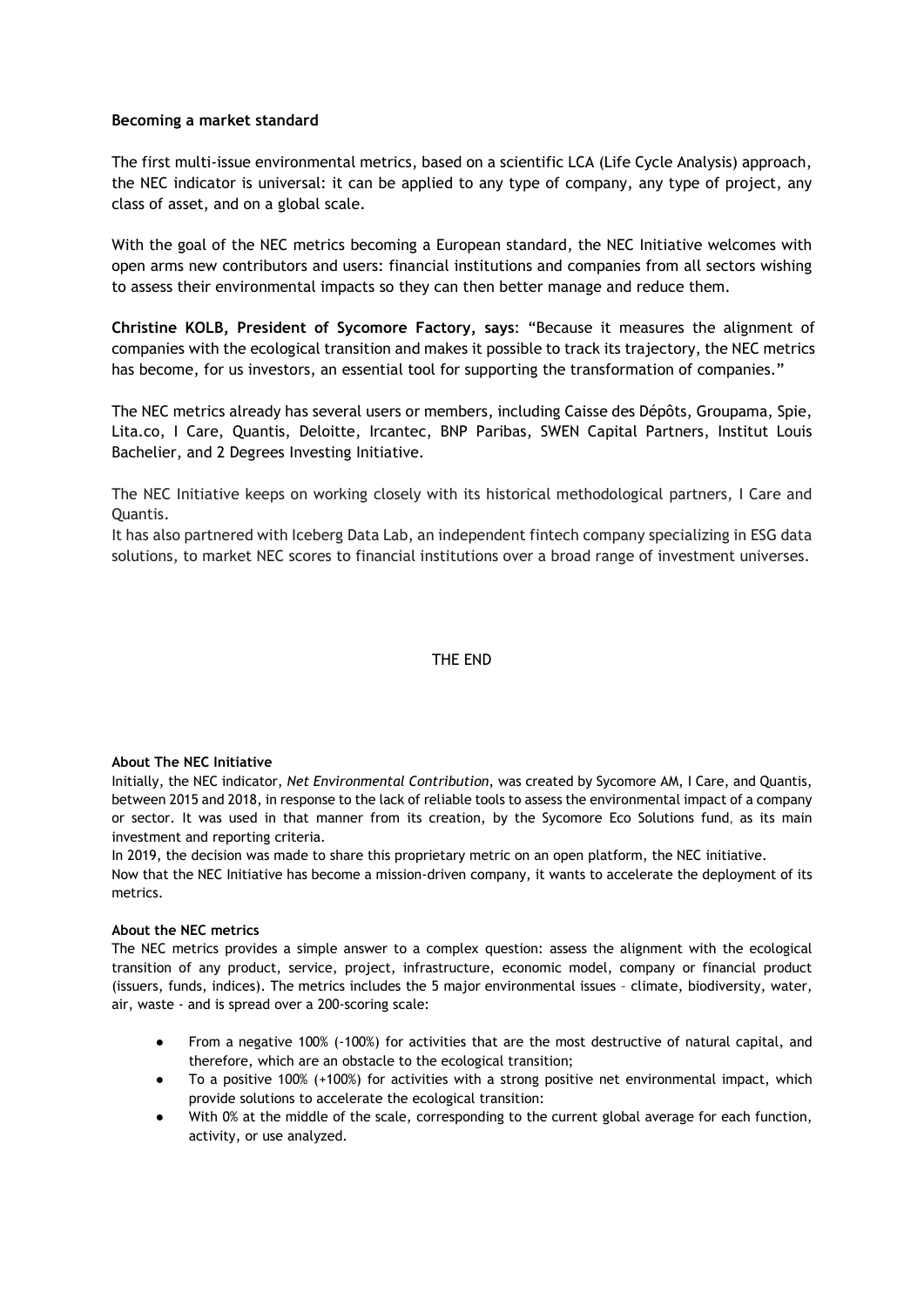## Becoming a market standard

The first multi-issue environmental metrics, based on a scientific LCA (Life Cycle Analysis) approach, the NEC indicator is universal: it can be applied to any type of company, any type of project, any class of asset, and on a global scale.

With the goal of the NEC metrics becoming a European standard, the NEC Initiative welcomes with open arms new contributors and users: financial institutions and companies from all sectors wishing to assess their environmental impacts so they can then better manage and reduce them.

Christine KOLB, President of Sycomore Factory, says: "Because it measures the alignment of companies with the ecological transition and makes it possible to track its trajectory, the NEC metrics has become, for us investors, an essential tool for supporting the transformation of companies."

The NEC metrics already has several users or members, including Caisse des Dépôts, Groupama, Spie, Lita.co, I Care, Quantis, Deloitte, Ircantec, BNP Paribas, SWEN Capital Partners, Institut Louis Bachelier, and 2 Degrees Investing Initiative.

The NEC Initiative keeps on working closely with its historical methodological partners, I Care and Quantis.

It has also partnered with Iceberg Data Lab, an independent fintech company specializing in ESG data solutions, to market NEC scores to financial institutions over a broad range of investment universes.

## THE END

### About The NEC Initiative

Initially, the NEC indicator, Net Environmental Contribution, was created by Sycomore AM, I Care, and Quantis, between 2015 and 2018, in response to the lack of reliable tools to assess the environmental impact of a company or sector. It was used in that manner from its creation, by the Sycomore Eco Solutions fund, as its main investment and reporting criteria.

In 2019, the decision was made to share this proprietary metric on an open platform, the NEC initiative. Now that the NEC Initiative has become a mission-driven company, it wants to accelerate the deployment of its metrics.

## About the NEC metrics

The NEC metrics provides a simple answer to a complex question: assess the alignment with the ecological transition of any product, service, project, infrastructure, economic model, company or financial product (issuers, funds, indices). The metrics includes the 5 major environmental issues – climate, biodiversity, water, air, waste - and is spread over a 200-scoring scale:

- From a negative 100% (-100%) for activities that are the most destructive of natural capital, and therefore, which are an obstacle to the ecological transition;
- To a positive 100% (+100%) for activities with a strong positive net environmental impact, which provide solutions to accelerate the ecological transition:
- With 0% at the middle of the scale, corresponding to the current global average for each function, activity, or use analyzed.